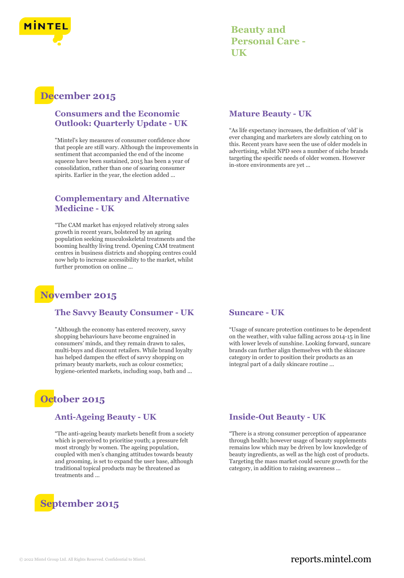

**Beauty and Personal Care - UK**

## **December 2015**

### **Consumers and the Economic Outlook: Quarterly Update - UK**

"Mintel's key measures of consumer confidence show that people are still wary. Although the improvements in sentiment that accompanied the end of the income squeeze have been sustained, 2015 has been a year of consolidation, rather than one of soaring consumer spirits. Earlier in the year, the election added ...

### **Complementary and Alternative Medicine - UK**

"The CAM market has enjoyed relatively strong sales growth in recent years, bolstered by an ageing population seeking musculoskeletal treatments and the booming healthy living trend. Opening CAM treatment centres in business districts and shopping centres could now help to increase accessibility to the market, whilst further promotion on online ...

# **November 2015**

### **The Savvy Beauty Consumer - UK**

"Although the economy has entered recovery, savvy shopping behaviours have become engrained in consumers' minds, and they remain drawn to sales, multi-buys and discount retailers. While brand loyalty has helped dampen the effect of savvy shopping on primary beauty markets, such as colour cosmetics; hygiene-oriented markets, including soap, bath and ...

# **October 2015**

### **Anti-Ageing Beauty - UK**

"The anti-ageing beauty markets benefit from a society which is perceived to prioritise youth; a pressure felt most strongly by women. The ageing population, coupled with men's changing attitudes towards beauty and grooming, is set to expand the user base, although traditional topical products may be threatened as treatments and ...

# **September 2015**

#### **Mature Beauty - UK**

"As life expectancy increases, the definition of 'old' is ever changing and marketers are slowly catching on to this. Recent years have seen the use of older models in advertising, whilst NPD sees a number of niche brands targeting the specific needs of older women. However in-store environments are yet ...

### **Suncare - UK**

"Usage of suncare protection continues to be dependent on the weather, with value falling across 2014-15 in line with lower levels of sunshine. Looking forward, suncare brands can further align themselves with the skincare category in order to position their products as an integral part of a daily skincare routine ...

### **Inside-Out Beauty - UK**

"There is a strong consumer perception of appearance through health; however usage of beauty supplements remains low which may be driven by low knowledge of beauty ingredients, as well as the high cost of products. Targeting the mass market could secure growth for the category, in addition to raising awareness ...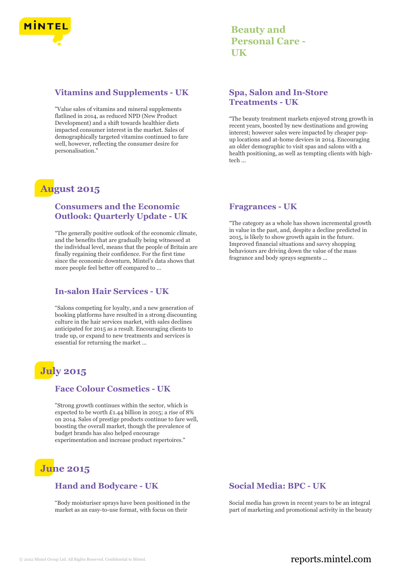

### **Vitamins and Supplements - UK**

"Value sales of vitamins and mineral supplements flatlined in 2014, as reduced NPD (New Product Development) and a shift towards healthier diets impacted consumer interest in the market. Sales of demographically targeted vitamins continued to fare well, however, reflecting the consumer desire for personalisation."

# **August 2015**

### **Consumers and the Economic Outlook: Quarterly Update - UK**

"The generally positive outlook of the economic climate, and the benefits that are gradually being witnessed at the individual level, means that the people of Britain are finally regaining their confidence. For the first time since the economic downturn, Mintel's data shows that more people feel better off compared to ...

### **In-salon Hair Services - UK**

"Salons competing for loyalty, and a new generation of booking platforms have resulted in a strong discounting culture in the hair services market, with sales declines anticipated for 2015 as a result. Encouraging clients to trade up, or expand to new treatments and services is essential for returning the market ...

# **July 2015**

### **Face Colour Cosmetics - UK**

"Strong growth continues within the sector, which is expected to be worth £1.44 billion in 2015; a rise of 8% on 2014. Sales of prestige products continue to fare well, boosting the overall market, though the prevalence of budget brands has also helped encourage experimentation and increase product repertoires."

# **June 2015**

### **Hand and Bodycare - UK**

"Body moisturiser sprays have been positioned in the market as an easy-to-use format, with focus on their

**Beauty and Personal Care - UK**

### **Spa, Salon and In-Store Treatments - UK**

"The beauty treatment markets enjoyed strong growth in recent years, boosted by new destinations and growing interest; however sales were impacted by cheaper popup locations and at-home devices in 2014. Encouraging an older demographic to visit spas and salons with a health positioning, as well as tempting clients with hightech ...

#### **Fragrances - UK**

"The category as a whole has shown incremental growth in value in the past, and, despite a decline predicted in 2015, is likely to show growth again in the future. Improved financial situations and savvy shopping behaviours are driving down the value of the mass fragrance and body sprays segments ...

### **Social Media: BPC - UK**

Social media has grown in recent years to be an integral part of marketing and promotional activity in the beauty

### © 2022 Mintel Group Ltd. All Rights Reserved. Confidential to Mintel.  $\blacksquare$  reports.mintel.com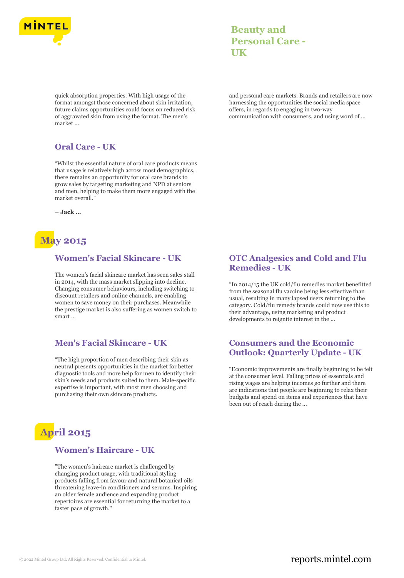

quick absorption properties. With high usage of the format amongst those concerned about skin irritation, future claims opportunities could focus on reduced risk of aggravated skin from using the format. The men's market ...

### **Oral Care - UK**

"Whilst the essential nature of oral care products means that usage is relatively high across most demographics, there remains an opportunity for oral care brands to grow sales by targeting marketing and NPD at seniors and men, helping to make them more engaged with the market overall."

**– Jack ...**

# **May 2015**

### **Women's Facial Skincare - UK**

The women's facial skincare market has seen sales stall in 2014, with the mass market slipping into decline. Changing consumer behaviours, including switching to discount retailers and online channels, are enabling women to save money on their purchases. Meanwhile the prestige market is also suffering as women switch to smart ...

### **Men's Facial Skincare - UK**

"The high proportion of men describing their skin as neutral presents opportunities in the market for better diagnostic tools and more help for men to identify their skin's needs and products suited to them. Male-specific expertise is important, with most men choosing and purchasing their own skincare products.



### **Women's Haircare - UK**

"The women's haircare market is challenged by changing product usage, with traditional styling products falling from favour and natural botanical oils threatening leave-in conditioners and serums. Inspiring an older female audience and expanding product repertoires are essential for returning the market to a faster pace of growth."

### **Beauty and Personal Care - UK**

and personal care markets. Brands and retailers are now harnessing the opportunities the social media space offers, in regards to engaging in two-way communication with consumers, and using word of ...

### **OTC Analgesics and Cold and Flu Remedies - UK**

"In 2014/15 the UK cold/flu remedies market benefitted from the seasonal flu vaccine being less effective than usual, resulting in many lapsed users returning to the category. Cold/flu remedy brands could now use this to their advantage, using marketing and product developments to reignite interest in the ...

### **Consumers and the Economic Outlook: Quarterly Update - UK**

"Economic improvements are finally beginning to be felt at the consumer level. Falling prices of essentials and rising wages are helping incomes go further and there are indications that people are beginning to relax their budgets and spend on items and experiences that have been out of reach during the ...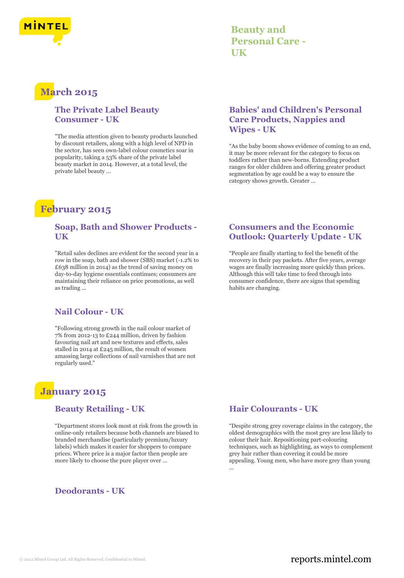

### **Beauty and Personal Care - UK**

### **March 2015**

### **The Private Label Beauty Consumer - UK**

"The media attention given to beauty products launched by discount retailers, along with a high level of NPD in the sector, has seen own-label colour cosmetics soar in popularity, taking a 53% share of the private label beauty market in 2014. However, at a total level, the private label beauty ...

# **February 2015**

### **Soap, Bath and Shower Products - UK**

"Retail sales declines are evident for the second year in a row in the soap, bath and shower (SBS) market (-1.2% to £638 million in 2014) as the trend of saving money on day-to-day hygiene essentials continues; consumers are maintaining their reliance on price promotions, as well as trading ...

### **Nail Colour - UK**

"Following strong growth in the nail colour market of 7% from 2012-13 to £244 million, driven by fashion favouring nail art and new textures and effects, sales stalled in 2014 at £245 million, the result of women amassing large collections of nail varnishes that are not regularly used."

### **January 2015**

### **Beauty Retailing - UK**

"Department stores look most at risk from the growth in online-only retailers because both channels are biased to branded merchandise (particularly premium/luxury labels) which makes it easier for shoppers to compare prices. Where price is a major factor then people are more likely to choose the pure player over ...

### **Deodorants - UK**

### **Babies' and Children's Personal Care Products, Nappies and Wipes - UK**

"As the baby boom shows evidence of coming to an end, it may be more relevant for the category to focus on toddlers rather than new-borns. Extending product ranges for older children and offering greater product segmentation by age could be a way to ensure the category shows growth. Greater ...

### **Consumers and the Economic Outlook: Quarterly Update - UK**

"People are finally starting to feel the benefit of the recovery in their pay packets. After five years, average wages are finally increasing more quickly than prices. Although this will take time to feed through into consumer confidence, there are signs that spending habits are changing.

### **Hair Colourants - UK**

"Despite strong grey coverage claims in the category, the oldest demographics with the most grey are less likely to colour their hair. Repositioning part-colouring techniques, such as highlighting, as ways to complement grey hair rather than covering it could be more appealing. Young men, who have more grey than young ...